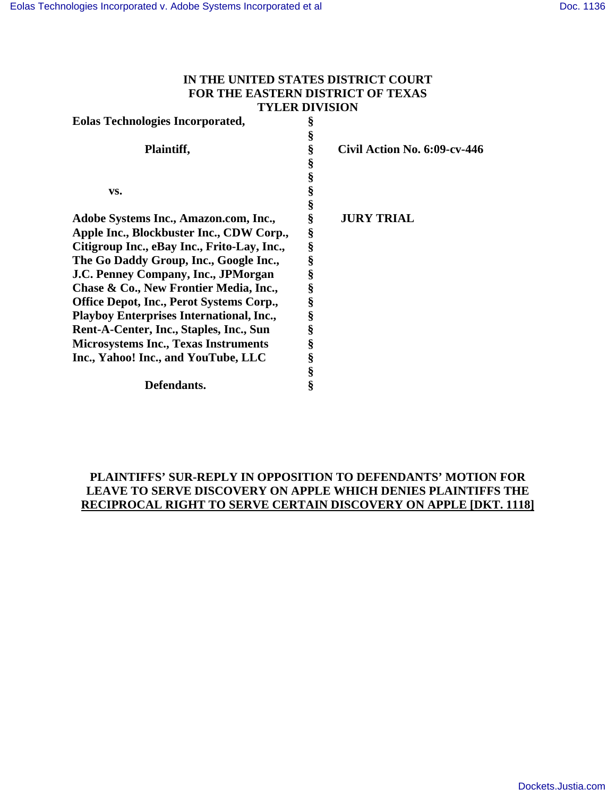## **IN THE UNITED STATES DISTRICT COURT FOR THE EASTERN DISTRICT OF TEXAS TYLER DIVISION**

| <b>Eolas Technologies Incorporated,</b>         | § |                              |
|-------------------------------------------------|---|------------------------------|
|                                                 | § |                              |
| Plaintiff,                                      | § | Civil Action No. 6:09-cv-446 |
|                                                 | § |                              |
|                                                 | § |                              |
| VS.                                             | § |                              |
|                                                 | § |                              |
| Adobe Systems Inc., Amazon.com, Inc.,           | ş | <b>JURY TRIAL</b>            |
| Apple Inc., Blockbuster Inc., CDW Corp.,        | § |                              |
| Citigroup Inc., eBay Inc., Frito-Lay, Inc.,     | § |                              |
| The Go Daddy Group, Inc., Google Inc.,          | § |                              |
| J.C. Penney Company, Inc., JPMorgan             | § |                              |
| Chase & Co., New Frontier Media, Inc.,          | § |                              |
| <b>Office Depot, Inc., Perot Systems Corp.,</b> | § |                              |
| <b>Playboy Enterprises International, Inc.,</b> | § |                              |
| Rent-A-Center, Inc., Staples, Inc., Sun         | § |                              |
| <b>Microsystems Inc., Texas Instruments</b>     | § |                              |
| Inc., Yahoo! Inc., and YouTube, LLC             | § |                              |
|                                                 | § |                              |
| Defendants.                                     | ş |                              |
|                                                 |   |                              |

# **PLAINTIFFS' SUR-REPLY IN OPPOSITION TO DEFENDANTS' MOTION FOR LEAVE TO SERVE DISCOVERY ON APPLE WHICH DENIES PLAINTIFFS THE RECIPROCAL RIGHT TO SERVE CERTAIN DISCOVERY ON APPLE [DKT. 1118]**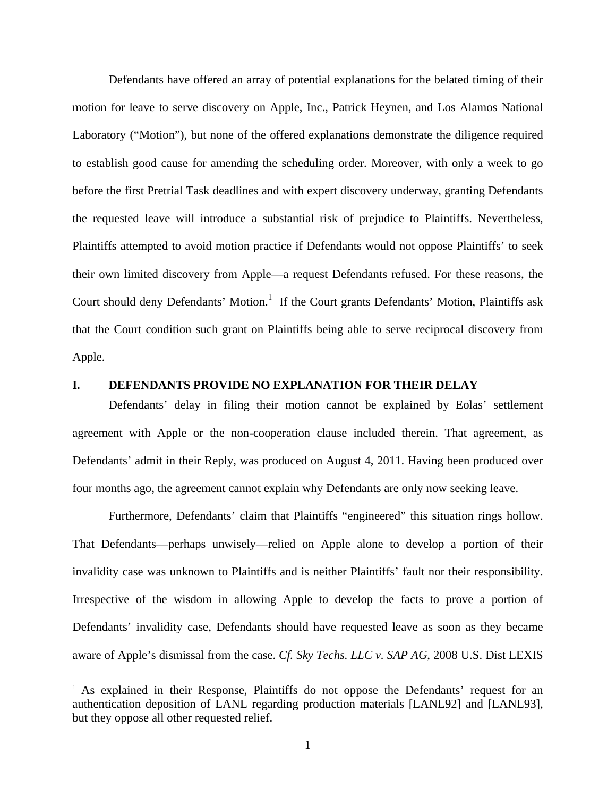Defendants have offered an array of potential explanations for the belated timing of their motion for leave to serve discovery on Apple, Inc., Patrick Heynen, and Los Alamos National Laboratory ("Motion"), but none of the offered explanations demonstrate the diligence required to establish good cause for amending the scheduling order. Moreover, with only a week to go before the first Pretrial Task deadlines and with expert discovery underway, granting Defendants the requested leave will introduce a substantial risk of prejudice to Plaintiffs. Nevertheless, Plaintiffs attempted to avoid motion practice if Defendants would not oppose Plaintiffs' to seek their own limited discovery from Apple—a request Defendants refused. For these reasons, the Court should deny Defendants' Motion.<sup>1</sup> If the Court grants Defendants' Motion, Plaintiffs ask that the Court condition such grant on Plaintiffs being able to serve reciprocal discovery from Apple.

#### **I. DEFENDANTS PROVIDE NO EXPLANATION FOR THEIR DELAY**

Defendants' delay in filing their motion cannot be explained by Eolas' settlement agreement with Apple or the non-cooperation clause included therein. That agreement, as Defendants' admit in their Reply, was produced on August 4, 2011. Having been produced over four months ago, the agreement cannot explain why Defendants are only now seeking leave.

Furthermore, Defendants' claim that Plaintiffs "engineered" this situation rings hollow. That Defendants—perhaps unwisely—relied on Apple alone to develop a portion of their invalidity case was unknown to Plaintiffs and is neither Plaintiffs' fault nor their responsibility. Irrespective of the wisdom in allowing Apple to develop the facts to prove a portion of Defendants' invalidity case, Defendants should have requested leave as soon as they became aware of Apple's dismissal from the case. *Cf. Sky Techs. LLC v. SAP AG*, 2008 U.S. Dist LEXIS

 $\overline{a}$ 

<sup>&</sup>lt;sup>1</sup> As explained in their Response, Plaintiffs do not oppose the Defendants' request for an authentication deposition of LANL regarding production materials [LANL92] and [LANL93], but they oppose all other requested relief.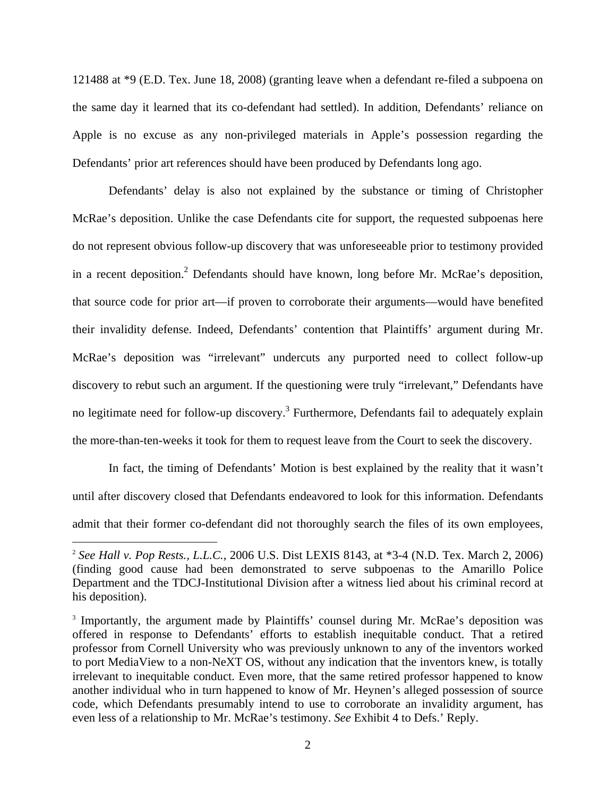121488 at \*9 (E.D. Tex. June 18, 2008) (granting leave when a defendant re-filed a subpoena on the same day it learned that its co-defendant had settled). In addition, Defendants' reliance on Apple is no excuse as any non-privileged materials in Apple's possession regarding the Defendants' prior art references should have been produced by Defendants long ago.

Defendants' delay is also not explained by the substance or timing of Christopher McRae's deposition. Unlike the case Defendants cite for support, the requested subpoenas here do not represent obvious follow-up discovery that was unforeseeable prior to testimony provided in a recent deposition.<sup>2</sup> Defendants should have known, long before Mr. McRae's deposition, that source code for prior art—if proven to corroborate their arguments—would have benefited their invalidity defense. Indeed, Defendants' contention that Plaintiffs' argument during Mr. McRae's deposition was "irrelevant" undercuts any purported need to collect follow-up discovery to rebut such an argument. If the questioning were truly "irrelevant," Defendants have no legitimate need for follow-up discovery.<sup>3</sup> Furthermore, Defendants fail to adequately explain the more-than-ten-weeks it took for them to request leave from the Court to seek the discovery.

In fact, the timing of Defendants' Motion is best explained by the reality that it wasn't until after discovery closed that Defendants endeavored to look for this information. Defendants admit that their former co-defendant did not thoroughly search the files of its own employees,

1

<sup>2</sup> *See Hall v. Pop Rests., L.L.C.*, 2006 U.S. Dist LEXIS 8143, at \*3-4 (N.D. Tex. March 2, 2006) (finding good cause had been demonstrated to serve subpoenas to the Amarillo Police Department and the TDCJ-Institutional Division after a witness lied about his criminal record at his deposition).

<sup>&</sup>lt;sup>3</sup> Importantly, the argument made by Plaintiffs' counsel during Mr. McRae's deposition was offered in response to Defendants' efforts to establish inequitable conduct. That a retired professor from Cornell University who was previously unknown to any of the inventors worked to port MediaView to a non-NeXT OS, without any indication that the inventors knew, is totally irrelevant to inequitable conduct. Even more, that the same retired professor happened to know another individual who in turn happened to know of Mr. Heynen's alleged possession of source code, which Defendants presumably intend to use to corroborate an invalidity argument, has even less of a relationship to Mr. McRae's testimony. *See* Exhibit 4 to Defs.' Reply.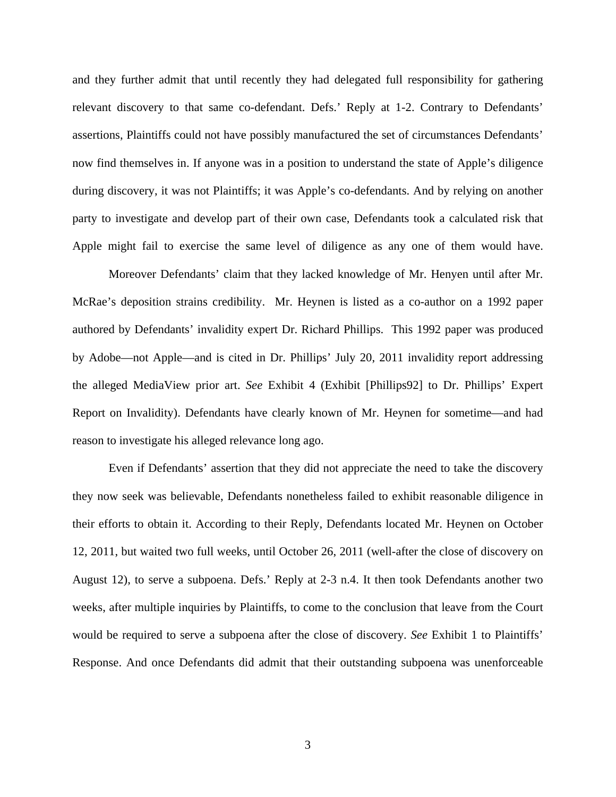and they further admit that until recently they had delegated full responsibility for gathering relevant discovery to that same co-defendant. Defs.' Reply at 1-2. Contrary to Defendants' assertions, Plaintiffs could not have possibly manufactured the set of circumstances Defendants' now find themselves in. If anyone was in a position to understand the state of Apple's diligence during discovery, it was not Plaintiffs; it was Apple's co-defendants. And by relying on another party to investigate and develop part of their own case, Defendants took a calculated risk that Apple might fail to exercise the same level of diligence as any one of them would have.

 Moreover Defendants' claim that they lacked knowledge of Mr. Henyen until after Mr. McRae's deposition strains credibility. Mr. Heynen is listed as a co-author on a 1992 paper authored by Defendants' invalidity expert Dr. Richard Phillips. This 1992 paper was produced by Adobe—not Apple—and is cited in Dr. Phillips' July 20, 2011 invalidity report addressing the alleged MediaView prior art. *See* Exhibit 4 (Exhibit [Phillips92] to Dr. Phillips' Expert Report on Invalidity). Defendants have clearly known of Mr. Heynen for sometime—and had reason to investigate his alleged relevance long ago.

Even if Defendants' assertion that they did not appreciate the need to take the discovery they now seek was believable, Defendants nonetheless failed to exhibit reasonable diligence in their efforts to obtain it. According to their Reply, Defendants located Mr. Heynen on October 12, 2011, but waited two full weeks, until October 26, 2011 (well-after the close of discovery on August 12), to serve a subpoena. Defs.' Reply at 2-3 n.4. It then took Defendants another two weeks, after multiple inquiries by Plaintiffs, to come to the conclusion that leave from the Court would be required to serve a subpoena after the close of discovery. *See* Exhibit 1 to Plaintiffs' Response. And once Defendants did admit that their outstanding subpoena was unenforceable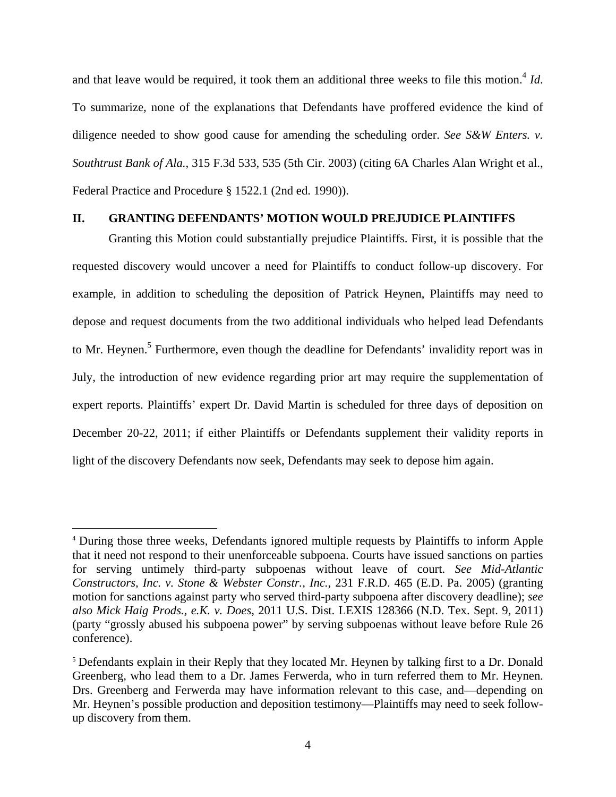and that leave would be required, it took them an additional three weeks to file this motion.<sup>4</sup> *Id*. To summarize, none of the explanations that Defendants have proffered evidence the kind of diligence needed to show good cause for amending the scheduling order. *See S&W Enters. v. Southtrust Bank of Ala.*, 315 F.3d 533, 535 (5th Cir. 2003) (citing 6A Charles Alan Wright et al., Federal Practice and Procedure § 1522.1 (2nd ed. 1990)).

#### **II. GRANTING DEFENDANTS' MOTION WOULD PREJUDICE PLAINTIFFS**

Granting this Motion could substantially prejudice Plaintiffs. First, it is possible that the requested discovery would uncover a need for Plaintiffs to conduct follow-up discovery. For example, in addition to scheduling the deposition of Patrick Heynen, Plaintiffs may need to depose and request documents from the two additional individuals who helped lead Defendants to Mr. Heynen.<sup>5</sup> Furthermore, even though the deadline for Defendants' invalidity report was in July, the introduction of new evidence regarding prior art may require the supplementation of expert reports. Plaintiffs' expert Dr. David Martin is scheduled for three days of deposition on December 20-22, 2011; if either Plaintiffs or Defendants supplement their validity reports in light of the discovery Defendants now seek, Defendants may seek to depose him again.

1

<sup>4</sup> During those three weeks, Defendants ignored multiple requests by Plaintiffs to inform Apple that it need not respond to their unenforceable subpoena. Courts have issued sanctions on parties for serving untimely third-party subpoenas without leave of court. *See Mid-Atlantic Constructors, Inc. v. Stone & Webster Constr., Inc.*, 231 F.R.D. 465 (E.D. Pa. 2005) (granting motion for sanctions against party who served third-party subpoena after discovery deadline); *see also Mick Haig Prods., e.K. v. Does*, 2011 U.S. Dist. LEXIS 128366 (N.D. Tex. Sept. 9, 2011) (party "grossly abused his subpoena power" by serving subpoenas without leave before Rule 26 conference).

<sup>5</sup> Defendants explain in their Reply that they located Mr. Heynen by talking first to a Dr. Donald Greenberg, who lead them to a Dr. James Ferwerda, who in turn referred them to Mr. Heynen. Drs. Greenberg and Ferwerda may have information relevant to this case, and—depending on Mr. Heynen's possible production and deposition testimony—Plaintiffs may need to seek followup discovery from them.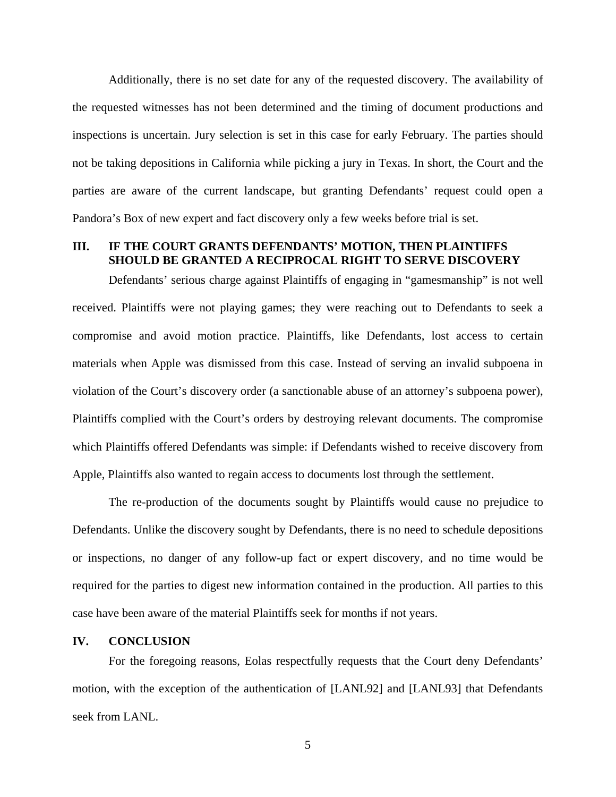Additionally, there is no set date for any of the requested discovery. The availability of the requested witnesses has not been determined and the timing of document productions and inspections is uncertain. Jury selection is set in this case for early February. The parties should not be taking depositions in California while picking a jury in Texas. In short, the Court and the parties are aware of the current landscape, but granting Defendants' request could open a Pandora's Box of new expert and fact discovery only a few weeks before trial is set.

### **III. IF THE COURT GRANTS DEFENDANTS' MOTION, THEN PLAINTIFFS SHOULD BE GRANTED A RECIPROCAL RIGHT TO SERVE DISCOVERY**

Defendants' serious charge against Plaintiffs of engaging in "gamesmanship" is not well received. Plaintiffs were not playing games; they were reaching out to Defendants to seek a compromise and avoid motion practice. Plaintiffs, like Defendants, lost access to certain materials when Apple was dismissed from this case. Instead of serving an invalid subpoena in violation of the Court's discovery order (a sanctionable abuse of an attorney's subpoena power), Plaintiffs complied with the Court's orders by destroying relevant documents. The compromise which Plaintiffs offered Defendants was simple: if Defendants wished to receive discovery from Apple, Plaintiffs also wanted to regain access to documents lost through the settlement.

The re-production of the documents sought by Plaintiffs would cause no prejudice to Defendants. Unlike the discovery sought by Defendants, there is no need to schedule depositions or inspections, no danger of any follow-up fact or expert discovery, and no time would be required for the parties to digest new information contained in the production. All parties to this case have been aware of the material Plaintiffs seek for months if not years.

#### **IV. CONCLUSION**

For the foregoing reasons, Eolas respectfully requests that the Court deny Defendants' motion, with the exception of the authentication of [LANL92] and [LANL93] that Defendants seek from LANL.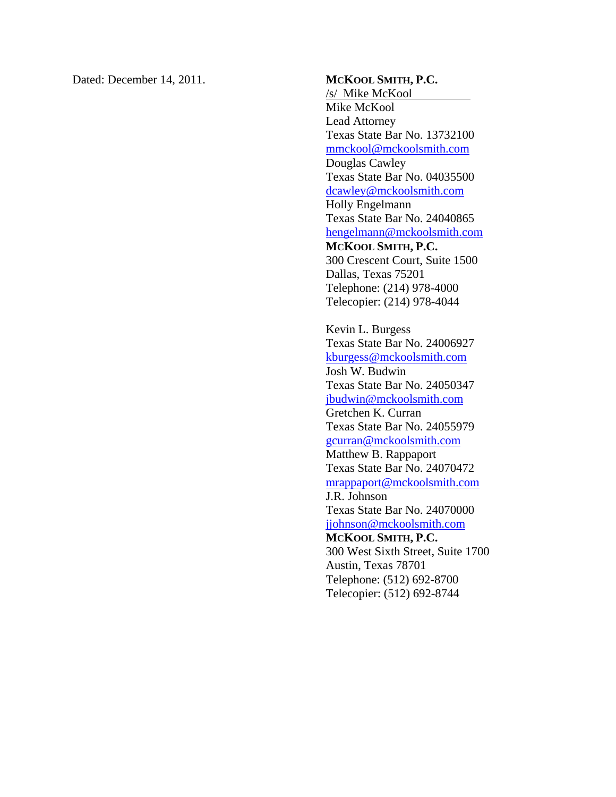Dated: December 14, 2011. **MCKOOL SMITH, P.C.** 

/s/ Mike McKool Mike McKool Lead Attorney Texas State Bar No. 13732100 mmckool@mckoolsmith.com Douglas Cawley Texas State Bar No. 04035500 dcawley@mckoolsmith.com Holly Engelmann Texas State Bar No. 24040865 hengelmann@mckoolsmith.com **MCKOOL SMITH, P.C.**  300 Crescent Court, Suite 1500 Dallas, Texas 75201 Telephone: (214) 978-4000 Telecopier: (214) 978-4044

Kevin L. Burgess Texas State Bar No. 24006927 kburgess@mckoolsmith.com Josh W. Budwin Texas State Bar No. 24050347 jbudwin@mckoolsmith.com Gretchen K. Curran Texas State Bar No. 24055979 gcurran@mckoolsmith.com Matthew B. Rappaport Texas State Bar No. 24070472 mrappaport@mckoolsmith.com J.R. Johnson Texas State Bar No. 24070000 jjohnson@mckoolsmith.com **MCKOOL SMITH, P.C.**  300 West Sixth Street, Suite 1700 Austin, Texas 78701 Telephone: (512) 692-8700 Telecopier: (512) 692-8744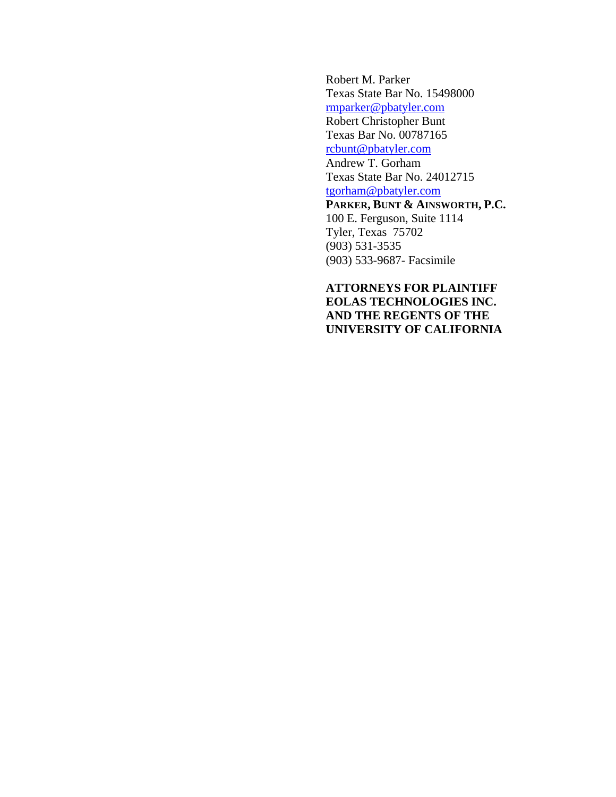Robert M. Parker Texas State Bar No. 15498000 rmparker@pbatyler.com Robert Christopher Bunt Texas Bar No. 00787165 rcbunt@pbatyler.com Andrew T. Gorham Texas State Bar No. 24012715 tgorham@pbatyler.com **PARKER, BUNT & AINSWORTH, P.C.**  100 E. Ferguson, Suite 1114 Tyler, Texas 75702 (903) 531-3535 (903) 533-9687- Facsimile

**ATTORNEYS FOR PLAINTIFF EOLAS TECHNOLOGIES INC. AND THE REGENTS OF THE UNIVERSITY OF CALIFORNIA**